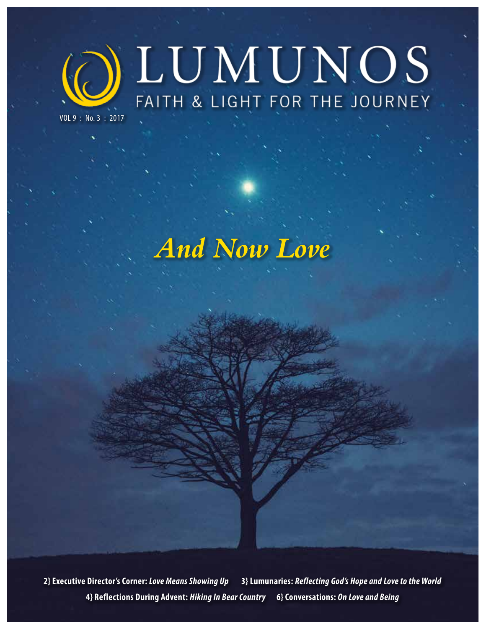

VOL 9 : No. 3 : 2017

# *And Now Love*

**2} Executive Director's Corner:** *Love Means Showing Up* **3} Lumunaries:** *Reflecting God's Hope and Love to the World* **4} Reflections During Advent:** *Hiking In Bear Country* **6} Conversations:** *On Love and Being*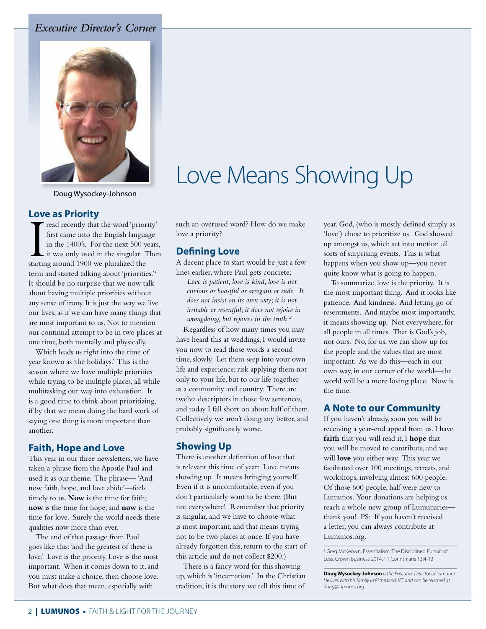### *Executive Director's Corner*



Doug Wysockey-Johnson

#### **Love as Priority**

read recently that the word 'priority' first came into the English language in the 1400's. For the next 500 years, it was only used in the singular. Then starting around 1900 we pluralized the term and started talking about 'priorities.'*<sup>1</sup>* It should be no surprise that we now talk about having multiple priorities without any sense of irony. It is just the way we live our lives, as if we can have many things that are most important to us. Not to mention our continual attempt to be in two places at one time, both mentally and physically.

Which leads us right into the time of year known as 'the holidays.' This is the season where we have multiple priorities while trying to be multiple places, all while multitasking our way into exhaustion. It is a good time to think about prioritizing, if by that we mean doing the hard work of saying one thing is more important than another.

### **Faith, Hope and Love**

This year in our three newsletters, we have taken a phrase from the Apostle Paul and used it as our theme. The phrase— 'And now faith, hope, and love abide'—feels timely to us. **Now** is the time for faith; **now** is the time for hope; and **now** is the time for love. Surely the world needs these qualities now more than ever.

The end of that passage from Paul goes like this: 'and the greatest of these is love.' Love is the priority. Love is the most important. When it comes down to it, and you must make a choice, then choose love. But what does that mean, especially with

# Love Means Showing Up

such an overused word? How do we make love a priority?

### **Defining Love**

A decent place to start would be just a few lines earlier, where Paul gets concrete:

*Love is patient; love is kind; love is not envious or boastful or arrogant or rude. It does not insist on its own way; it is not irritable or resentful; it does not rejoice in wrongdoing, but rejoices in the truth.2*

Regardless of how many times you may have heard this at weddings, I would invite you now to read those words a second time, slowly. Let them seep into your own life and experience; risk applying them not only to your life, but to our life together as a community and country. There are twelve descriptors in those few sentences, and today I fall short on about half of them. Collectively we aren't doing any better, and probably significantly worse.

### **Showing Up**

There is another definition of love that is relevant this time of year: Love means showing up. It means bringing yourself. Even if it is uncomfortable, even if you don't particularly want to be there. (But not everywhere! Remember that priority is singular, and we have to choose what is most important, and that means trying not to be two places at once. If you have already forgotten this, return to the start of this article and do not collect \$200.)

There is a fancy word for this showing up, which is 'incarnation.' In the Christian tradition, it is the story we tell this time of year. God, (who is mostly defined simply as 'love') chose to prioritize us. God showed up amongst us, which set into motion all sorts of surprising events. This is what happens when you show up—you never quite know what is going to happen.

To summarize, love is the priority. It is the most important thing. And it looks like patience. And kindness. And letting go of resentments. And maybe most importantly, it means showing up. Not everywhere, for all people in all times. That is God's job, not ours. No, for us, we can show up for the people and the values that are most important. As we do this—each in our own way, in our corner of the world—the world will be a more loving place. Now is the time.

### **A Note to our Community**

If you haven't already, soon you will be receiving a year-end appeal from us. I have **faith** that you will read it, I **hope** that you will be moved to contribute, and we will **love** you either way. This year we facilitated over 100 meetings, retreats, and workshops, involving almost 600 people. Of those 600 people, half were new to Lumunos. Your donations are helping us reach a whole new group of Lumunaries thank you! PS: If you haven't received a letter, you can always contribute at Lumunos.org.

<sup>1</sup> Greg McKeown, Essentialism: The Disciplined Pursuit of Less, Crown Business 2014.<sup>2</sup> 1 Corinthians 13:4-13

**Doug Wysockey-Johnson** *is the Executive Director of Lumunos. He lives with his family in Richmond, VT, and can be reached at doug@lumunos.org.*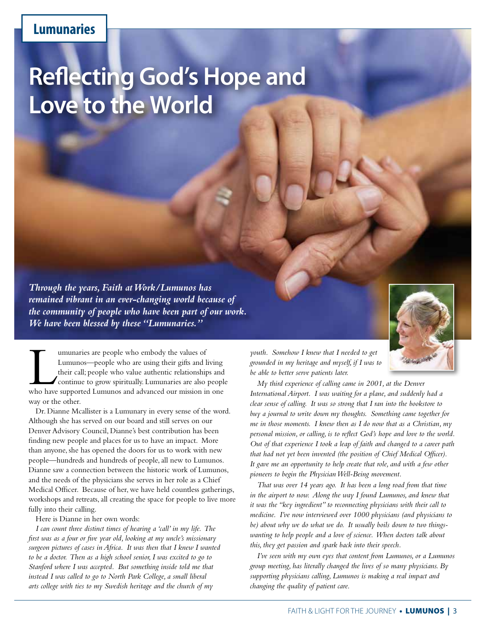## **Lumunaries**

# **Reflecting God's Hope and Love to the World**

*Through the years, Faith at Work/Lumunos has remained vibrant in an ever-changing world because of the community of people who have been part of our work. We have been blessed by these "Lumunaries."* 



Dr. Dianne Mcallister is a Lumunary in every sense of the word. Although she has served on our board and still serves on our Denver Advisory Council, Dianne's best contribution has been finding new people and places for us to have an impact. More than anyone, she has opened the doors for us to work with new people—hundreds and hundreds of people, all new to Lumunos. Dianne saw a connection between the historic work of Lumunos, and the needs of the physicians she serves in her role as a Chief Medical Officer. Because of her, we have held countless gatherings, workshops and retreats, all creating the space for people to live more fully into their calling.

Here is Dianne in her own words:

*I can count three distinct times of hearing a 'call' in my life. The first was as a four or five year old, looking at my uncle's missionary surgeon pictures of cases in Africa. It was then that I knew I wanted to be a doctor. Then as a high school senior, I was excited to go to Stanford where I was accepted. But something inside told me that instead I was called to go to North Park College, a small liberal arts college with ties to my Swedish heritage and the church of my* 



*youth. Somehow I knew that I needed to get grounded in my heritage and myself, if I was to be able to better serve patients later.*

*My third experience of calling came in 2001, at the Denver International Airport. I was waiting for a plane, and suddenly had a clear sense of calling. It was so strong that I ran into the bookstore to buy a journal to write down my thoughts. Something came together for me in those moments. I knew then as I do now that as a Christian, my personal mission, or calling, is to reflect God's hope and love to the world. Out of that experience I took a leap of faith and changed to a career path that had not yet been invented (the position of Chief Medical Officer). It gave me an opportunity to help create that role, and with a few other pioneers to begin the Physician Well-Being movement.* 

*That was over 14 years ago. It has been a long road from that time in the airport to now. Along the way I found Lumunos, and knew that it was the "key ingredient" to reconnecting physicians with their call to medicine. I've now interviewed over 1000 physicians (and physicians to be) about why we do what we do. It usually boils down to two thingswanting to help people and a love of science. When doctors talk about this, they get passion and spark back into their speech.* 

*I've seen with my own eyes that content from Lumunos, or a Lumunos group meeting, has literally changed the lives of so many physicians. By supporting physicians calling, Lumunos is making a real impact and changing the quality of patient care.*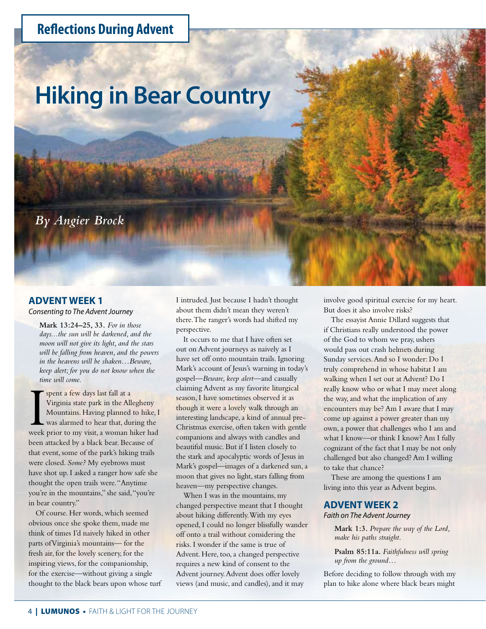# **Reflections During Advent**

# **Hiking in Bear Country**

*By Angier Brock*

#### **ADVENT WEEK 1**

*Consenting to The Advent Journey*

**Mark 13:24–25, 33.** *For in those days...the sun will be darkened, and the moon will not give its light, and the stars will be falling from heaven, and the powers in the heavens will be shaken…Beware, keep alert; for you do not know when the time will come.* 

**I spent a few days last fall at a** Virginia state park in the Allegheny Mountains. Having planned to hike, I was alarmed to hear that, during the week prior to my visit, a woman hiker had Virginia state park in the Allegheny Mountains. Having planned to hike, I was alarmed to hear that, during the been attacked by a black bear. Because of that event, some of the park's hiking trails were closed. *Some?* My eyebrows must have shot up. I asked a ranger how safe she thought the open trails were. "Anytime you're in the mountains," she said, "you're in bear country."

Of course. Her words, which seemed obvious once she spoke them, made me think of times I'd naively hiked in other parts of Virginia's mountains— for the fresh air, for the lovely scenery, for the inspiring views, for the companionship, for the exercise—without giving a single thought to the black bears upon whose turf

I intruded. Just because I hadn't thought about them didn't mean they weren't there. The ranger's words had shifted my perspective.

It occurs to me that I have often set out on Advent journeys as naively as I have set off onto mountain trails. Ignoring Mark's account of Jesus's warning in today's gospel—*Beware, keep alert*—and casually claiming Advent as my favorite liturgical season, I have sometimes observed it as though it were a lovely walk through an interesting landscape, a kind of annual pre-Christmas exercise, often taken with gentle companions and always with candles and beautiful music. But if I listen closely to the stark and apocalyptic words of Jesus in Mark's gospel—images of a darkened sun, a moon that gives no light, stars falling from heaven—my perspective changes.

When I was in the mountains, my changed perspective meant that I thought about hiking differently. With my eyes opened, I could no longer blissfully wander off onto a trail without considering the risks. I wonder if the same is true of Advent. Here, too, a changed perspective requires a new kind of consent to the Advent journey. Advent does offer lovely views (and music, and candles), and it may

involve good spiritual exercise for my heart. But does it also involve risks?

The essayist Annie Dillard suggests that if Christians really understood the power of the God to whom we pray, ushers would pass out crash helmets during Sunday services. And so I wonder: Do I truly comprehend in whose habitat I am walking when I set out at Advent? Do I really know who or what I may meet along the way, and what the implication of any encounters may be? Am I aware that I may come up against a power greater than my own, a power that challenges who I am and what I know—or think I know? Am I fully cognizant of the fact that I may be not only challenged but also changed? Am I willing to take that chance?

These are among the questions I am living into this year as Advent begins.

#### **ADVENT WEEK 2**

*Faith on The Advent Journey* 

**Mark 1:3.** *Prepare the way of the Lord, make his paths straight.*

**Psalm 85:11a.** *Faithfulness will spring up from the ground…*

Before deciding to follow through with my plan to hike alone where black bears might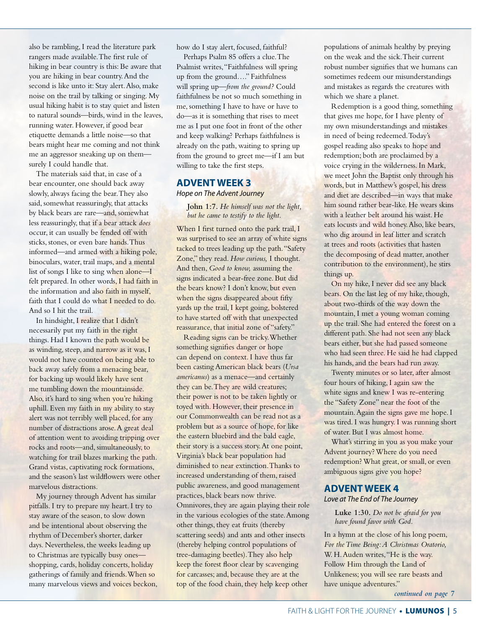also be rambling, I read the literature park rangers made available. The first rule of hiking in bear country is this: Be aware that you are hiking in bear country. And the second is like unto it: Stay alert. Also, make noise on the trail by talking or singing. My usual hiking habit is to stay quiet and listen to natural sounds—birds, wind in the leaves, running water. However, if good bear etiquette demands a little noise—so that bears might hear me coming and not think me an aggressor sneaking up on them surely I could handle that.

The materials said that, in case of a bear encounter, one should back away slowly, always facing the bear. They also said, somewhat reassuringly, that attacks by black bears are rare—and, somewhat less reassuringly, that if a bear attack *does*  occur, it can usually be fended off with sticks, stones, or even bare hands. Thus informed—and armed with a hiking pole, binoculars, water, trail maps, and a mental list of songs I like to sing when alone—I felt prepared. In other words, I had faith in the information and also faith in myself, faith that I could do what I needed to do. And so I hit the trail.

In hindsight, I realize that I didn't necessarily put my faith in the right things. Had I known the path would be as winding, steep, and narrow as it was, I would not have counted on being able to back away safely from a menacing bear, for backing up would likely have sent me tumbling down the mountainside. Also, it's hard to sing when you're hiking uphill. Even my faith in my ability to stay alert was not terribly well placed, for any number of distractions arose. A great deal of attention went to avoiding tripping over rocks and roots—and, simultaneously, to watching for trail blazes marking the path. Grand vistas, captivating rock formations, and the season's last wildflowers were other marvelous distractions.

My journey through Advent has similar pitfalls. I try to prepare my heart. I try to stay aware of the season, to slow down and be intentional about observing the rhythm of December's shorter, darker days. Nevertheless, the weeks leading up to Christmas are typically busy ones shopping, cards, holiday concerts, holiday gatherings of family and friends. When so many marvelous views and voices beckon, how do I stay alert, focused, faithful?

Perhaps Psalm 85 offers a clue. The Psalmist writes, "Faithfulness will spring up from the ground…." Faithfulness will spring up—*from the ground?* Could faithfulness be not so much something in me, something I have to have or have to do—as it is something that rises to meet me as I put one foot in front of the other and keep walking? Perhaps faithfulness is already on the path, waiting to spring up from the ground to greet me—if I am but willing to take the first steps.

#### **ADVENT WEEK 3**

#### *Hope on The Advent Journey*

**John 1:7.** *He himself was not the light, but he came to testify to the light.*

When I first turned onto the park trail, I was surprised to see an array of white signs tacked to trees leading up the path. "Safety Zone," they read. *How curious,* I thought. And then, *Good to know,* assuming the signs indicated a bear-free zone. But did the bears know? I don't know, but even when the signs disappeared about fifty yards up the trail, I kept going, bolstered to have started off with that unexpected reassurance, that initial zone of "safety."

Reading signs can be tricky. Whether something signifies danger or hope can depend on context. I have thus far been casting American black bears (*Ursa americanus*) as a menace—and certainly they can be. They are wild creatures; their power is not to be taken lightly or toyed with. However, their presence in our Commonwealth can be read not as a problem but as a source of hope, for like the eastern bluebird and the bald eagle, their story is a success story. At one point, Virginia's black bear population had diminished to near extinction. Thanks to increased understanding of them, raised public awareness, and good management practices, black bears now thrive. Omnivores, they are again playing their role in the various ecologies of the state. Among other things, they eat fruits (thereby scattering seeds) and ants and other insects (thereby helping control populations of tree-damaging beetles). They also help keep the forest floor clear by scavenging for carcasses; and, because they are at the top of the food chain, they help keep other

populations of animals healthy by preying on the weak and the sick. Their current robust number signifies that we humans can sometimes redeem our misunderstandings and mistakes as regards the creatures with which we share a planet.

Redemption is a good thing, something that gives me hope, for I have plenty of my own misunderstandings and mistakes in need of being redeemed. Today's gospel reading also speaks to hope and redemption; both are proclaimed by a voice crying in the wilderness. In Mark, we meet John the Baptist only through his words, but in Matthew's gospel, his dress and diet are described—in ways that make him sound rather bear-like. He wears skins with a leather belt around his waist. He eats locusts and wild honey. Also, like bears, who dig around in leaf litter and scratch at trees and roots (activities that hasten the decomposing of dead matter, another contribution to the environment), he stirs things up.

On my hike, I never did see any black bears. On the last leg of my hike, though, about two-thirds of the way down the mountain, I met a young woman coming up the trail. She had entered the forest on a different path. She had not seen any black bears either, but she had passed someone who had seen three. He said he had clapped his hands, and the bears had run away.

Twenty minutes or so later, after almost four hours of hiking, I again saw the white signs and knew I was re-entering the "Safety Zone" near the foot of the mountain. Again the signs gave me hope. I was tired. I was hungry. I was running short of water. But I was almost home.

What's stirring in you as you make your Advent journey? Where do you need redemption? What great, or small, or even ambiguous signs give you hope?

#### **ADVENT WEEK 4**

*Love at The End of The Journey*

**Luke 1:30.** *Do not be afraid for you have found favor with God.*

In a hymn at the close of his long poem, *For the Time Being: A Christmas Oratorio,*  W. H. Auden writes, "He is the way. Follow Him through the Land of Unlikeness; you will see rare beasts and have unique adventures."

*continued on page 7*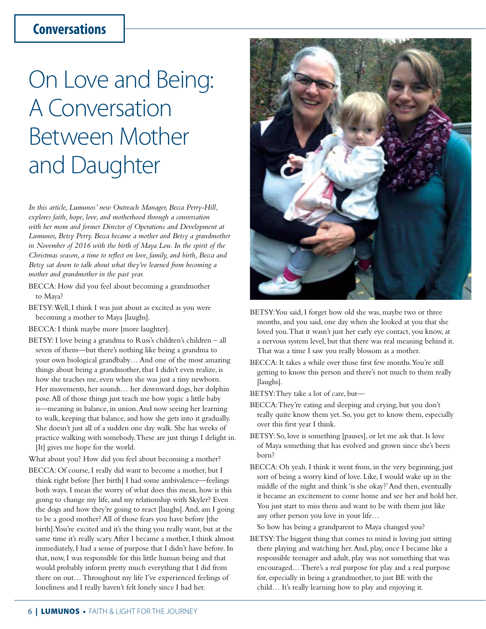# **Conversations**

# On Love and Being: A Conversation Between Mother and Daughter

*In this article, Lumunos' new Outreach Manager, Becca Perry-Hill, explores faith, hope, love, and motherhood through a conversation with her mom and former Director of Operations and Development at Lumunos, Betsy Perry. Becca became a mother and Betsy a grandmother in November of 2016 with the birth of Maya Lou. In the spirit of the Christmas season, a time to reflect on love, family, and birth, Becca and Betsy sat down to talk about what they've learned from becoming a mother and grandmother in the past year.*

- BECCA: How did you feel about becoming a grandmother to Maya?
- BETSY: Well, I think I was just about as excited as you were becoming a mother to Maya [laughs].
- BECCA: I think maybe more [more laughter].
- BETSY: I love being a grandma to Russ's children's children all seven of them—but there's nothing like being a grandma to your own biological grandbaby… And one of the most amazing things about being a grandmother, that I didn't even realize, is how she teaches me, even when she was just a tiny newborn. Her movements, her sounds… her downward dogs, her dolphin pose. All of those things just teach me how yogic a little baby is—meaning in balance, in union. And now seeing her learning to walk, keeping that balance, and how she gets into it gradually. She doesn't just all of a sudden one day walk. She has weeks of practice walking with somebody. These are just things I delight in. [It] gives me hope for the world.
- What about you? How did you feel about becoming a mother?
- BECCA: Of course, I really did want to become a mother, but I think right before [her birth] I had some ambivalence—feelings both ways. I mean the worry of what does this mean, how is this going to change my life, and my relationship with Skyler? Even the dogs and how they're going to react [laughs]. And, am I going to be a good mother? All of those fears you have before [the birth]. You're excited and it's the thing you really want, but at the same time it's really scary. After I became a mother, I think almost immediately, I had a sense of purpose that I didn't have before. In that, now, I was responsible for this little human being and that would probably inform pretty much everything that I did from there on out… Throughout my life I've experienced feelings of loneliness and I really haven't felt lonely since I had her.



- BETSY: You said, I forget how old she was, maybe two or three months, and you said, one day when she looked at you that she loved you. That it wasn't just her early eye contact, you know, at a nervous system level, but that there was real meaning behind it. That was a time I saw you really blossom as a mother.
- BECCA: It takes a while over those first few months. You're still getting to know this person and there's not much to them really [laughs].
- BETSY: They take a lot of care, but—
- BECCA: They're eating and sleeping and crying, but you don't really quite know them yet. So, you get to know them, especially over this first year I think.
- BETSY: So, love is something [pauses], or let me ask that. Is love of Maya something that has evolved and grown since she's been born?
- BECCA: Oh yeah. I think it went from, in the very beginning, just sort of being a worry kind of love. Like, I would wake up in the middle of the night and think 'is she okay?' And then, eventually it became an excitement to come home and see her and hold her. You just start to miss them and want to be with them just like any other person you love in your life…
	- So how has being a grandparent to Maya changed you?
- BETSY: The biggest thing that comes to mind is loving just sitting there playing and watching her. And, play, once I became like a responsible teenager and adult, play was not something that was encouraged… There's a real purpose for play and a real purpose for, especially in being a grandmother, to just BE with the child… It's really learning how to play and enjoying it.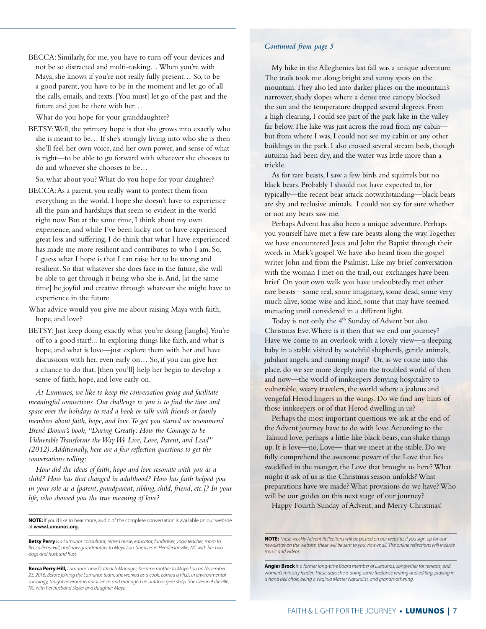BECCA: Similarly, for me, you have to turn off your devices and not be so distracted and multi-tasking… When you're with Maya, she knows if you're not really fully present… So, to be a good parent, you have to be in the moment and let go of all the calls, emails, and texts. [You must] let go of the past and the future and just be there with her…

What do you hope for your granddaughter?

BETSY: Well, the primary hope is that she grows into exactly who she is meant to be… If she's strongly living into who she is then she'll feel her own voice, and her own power, and sense of what is right—to be able to go forward with whatever she chooses to do and whoever she chooses to be…

So, what about you? What do you hope for your daughter?

- BECCA: As a parent, you really want to protect them from everything in the world. I hope she doesn't have to experience all the pain and hardships that seem so evident in the world right now. But at the same time, I think about my own experience, and while I've been lucky not to have experienced great loss and suffering, I do think that what I have experienced has made me more resilient and contributes to who I am. So, I guess what I hope is that I can raise her to be strong and resilient. So that whatever she does face in the future, she will be able to get through it being who she is. And, [at the same time] be joyful and creative through whatever she might have to experience in the future.
- What advice would you give me about raising Maya with faith, hope, and love?
- BETSY: Just keep doing exactly what you're doing [laughs]. You're off to a good start!... In exploring things like faith, and what is hope, and what is love—just explore them with her and have discussions with her, even early on… So, if you can give her a chance to do that, [then you'll] help her begin to develop a sense of faith, hope, and love early on.

*At Lumunos, we like to keep the conversation going and facilitate meaningful connections. Our challenge to you is to find the time and space over the holidays to read a book or talk with friends or family members about faith, hope, and love. To get you started we recommend Brené Brown's book, "Daring Greatly: How the Courage to be Vulnerable Transforms the Way We Live, Love, Parent, and Lead" (2012). Additionally, here are a few reflection questions to get the conversations rolling:* 

*How did the ideas of faith, hope and love resonate with you as a child? How has that changed in adulthood? How has faith helped you in your role as a [parent, grandparent, sibling, child, friend, etc.]? In your life, who showed you the true meaning of love?*

**NOTE:** If you'd like to hear more, audio of the complete conversation is available on our website at **www.Lumunos.org.**

**Betsy Perry** *is a Lumunos consultant, retired nurse, educator, fundraiser, yoga teacher, mom to Becca Perry-Hill, and now grandmother to Maya Lou. She lives in Hendersonville, NC with her two dogs and husband Russ.*

**Becca Perry-Hill,** *Lumunos' new Outreach Manager, became mother to Maya Lou on November*  23, 2016. Before joining the Lumunos team, she worked as a cook, earned a Ph.D. in environmental *sociology, taught environmental science, and managed an outdoor gear shop. She lives in Asheville, NC with her husband Skyler and daughter Maya.*

#### *Continued from page 5*

My hike in the Alleghenies last fall was a unique adventure. The trails took me along bright and sunny spots on the mountain. They also led into darker places on the mountain's narrower, shady slopes where a dense tree canopy blocked the sun and the temperature dropped several degrees. From a high clearing, I could see part of the park lake in the valley far below. The lake was just across the road from my cabin but from where I was, I could not see my cabin or any other buildings in the park. I also crossed several stream beds, though autumn had been dry, and the water was little more than a trickle.

As for rare beasts, I saw a few birds and squirrels but no black bears. Probably I should not have expected to, for typically—the recent bear attack notwithstanding—black bears are shy and reclusive animals. I could not say for sure whether or not any bears saw me.

Perhaps Advent has also been a unique adventure. Perhaps you yourself have met a few rare beasts along the way. Together we have encountered Jesus and John the Baptist through their words in Mark's gospel. We have also heard from the gospel writer John and from the Psalmist. Like my brief conversation with the woman I met on the trail, our exchanges have been brief. On your own walk you have undoubtedly met other rare beasts—some real, some imaginary, some dead, some very much alive, some wise and kind, some that may have seemed menacing until considered in a different light.

Today is not only the 4<sup>th</sup> Sunday of Advent but also Christmas Eve. Where is it then that we end our journey? Have we come to an overlook with a lovely view—a sleeping baby in a stable visited by watchful shepherds, gentle animals, jubilant angels, and cunning magi? Or, as we come into this place, do we see more deeply into the troubled world of then and now—the world of innkeepers denying hospitality to vulnerable, weary travelers, the world where a jealous and vengeful Herod lingers in the wings. Do we find any hints of those innkeepers or of that Herod dwelling in us?

Perhaps the most important questions we ask at the end of the Advent journey have to do with love. According to the Talmud love, perhaps a little like black bears, can shake things up. It is love—no, Love— that we meet at the stable. Do we fully comprehend the awesome power of the Love that lies swaddled in the manger, the Love that brought us here? What might it ask of us as the Christmas season unfolds? What preparations have we made? What provisions do we have? Who will be our guides on this next stage of our journey?

Happy Fourth Sunday of Advent, and Merry Christmas!

**Angier Brock** *is a former long-time Board member of Lumunos, songwriter for retreats, and women's ministry leader. These days she is doing some freelance writing and editing, playing in a hand bell choir, being a Virginia Master Naturalist, and grandmothering.*

**NOTE:** *These weekly Advent Reflections will be posted on our website. If you sign up for our newsletter on the website, these will be sent to you via e-mail. The online reflections will include music and videos.*